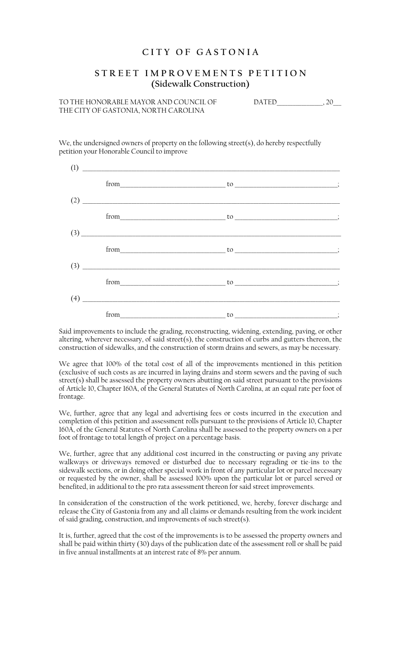## **C I T Y O F G A S T O N I A**

## **S T R E E T I M P R O V E M E N T S P E T I T I O N (Sidewalk Construction)**

TO THE HONORABLE MAYOR AND COUNCIL OF DATED\_\_\_\_\_\_\_\_\_\_\_\_\_\_\_\_\_, 20\_\_\_ THE CITY OF GASTONIA, NORTH CAROLINA

We, the undersigned owners of property on the following street(s), do hereby respectfully petition your Honorable Council to improve

| (1) |                                                      |                                                                                                                                                                                                                                                                                                                                             |  |
|-----|------------------------------------------------------|---------------------------------------------------------------------------------------------------------------------------------------------------------------------------------------------------------------------------------------------------------------------------------------------------------------------------------------------|--|
|     |                                                      |                                                                                                                                                                                                                                                                                                                                             |  |
| (2) |                                                      |                                                                                                                                                                                                                                                                                                                                             |  |
|     |                                                      |                                                                                                                                                                                                                                                                                                                                             |  |
|     | $(3) \qquad \qquad \overbrace{\qquad \qquad }^{(3)}$ |                                                                                                                                                                                                                                                                                                                                             |  |
|     |                                                      | $from$ $to$ $to$ $\ldots$ $\ldots$ $\ldots$ $\ldots$ $\ldots$ $\ldots$ $\ldots$ $\ldots$ $\ldots$ $\ldots$ $\ldots$ $\ldots$ $\ldots$ $\ldots$ $\ldots$ $\ldots$ $\ldots$ $\ldots$ $\ldots$ $\ldots$ $\ldots$ $\ldots$ $\ldots$ $\ldots$ $\ldots$ $\ldots$ $\ldots$ $\ldots$ $\ldots$ $\ldots$ $\ldots$ $\ldots$ $\ldots$ $\ldots$ $\ldots$ |  |
|     |                                                      |                                                                                                                                                                                                                                                                                                                                             |  |
|     |                                                      |                                                                                                                                                                                                                                                                                                                                             |  |
| (4) |                                                      |                                                                                                                                                                                                                                                                                                                                             |  |
|     | from                                                 |                                                                                                                                                                                                                                                                                                                                             |  |

Said improvements to include the grading, reconstructing, widening, extending, paving, or other altering, wherever necessary, of said street(s), the construction of curbs and gutters thereon, the construction of sidewalks, and the construction of storm drains and sewers, as may be necessary.

We agree that 100% of the total cost of all of the improvements mentioned in this petition (exclusive of such costs as are incurred in laying drains and storm sewers and the paving of such street(s) shall be assessed the property owners abutting on said street pursuant to the provisions of Article 10, Chapter 160A, of the General Statutes of North Carolina, at an equal rate per foot of frontage.

We, further, agree that any legal and advertising fees or costs incurred in the execution and completion of this petition and assessment rolls pursuant to the provisions of Article 10, Chapter 160A, of the General Statutes of North Carolina shall be assessed to the property owners on a per foot of frontage to total length of project on a percentage basis.

We, further, agree that any additional cost incurred in the constructing or paving any private walkways or driveways removed or disturbed due to necessary regrading or tie-ins to the sidewalk sections, or in doing other special work in front of any particular lot or parcel necessary or requested by the owner, shall be assessed 100% upon the particular lot or parcel served or benefited, in additional to the pro rata assessment thereon for said street improvements.

In consideration of the construction of the work petitioned, we, hereby, forever discharge and release the City of Gastonia from any and all claims or demands resulting from the work incident of said grading, construction, and improvements of such street(s).

It is, further, agreed that the cost of the improvements is to be assessed the property owners and shall be paid within thirty (30) days of the publication date of the assessment roll or shall be paid in five annual installments at an interest rate of 8% per annum.